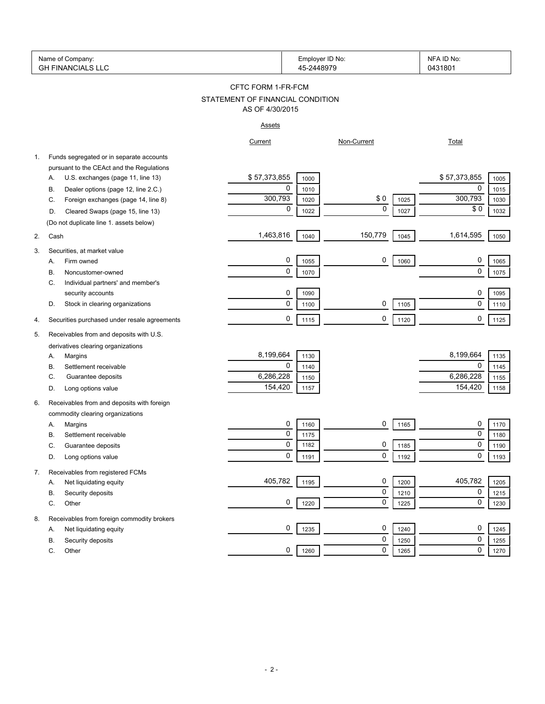|    | Name of Company:<br><b>GH FINANCIALS LLC</b> |                                  | Employer ID No:<br>45-2448979 |             |      | NFA ID No:<br>0431801 |      |
|----|----------------------------------------------|----------------------------------|-------------------------------|-------------|------|-----------------------|------|
|    |                                              | CFTC FORM 1-FR-FCM               |                               |             |      |                       |      |
|    |                                              | STATEMENT OF FINANCIAL CONDITION |                               |             |      |                       |      |
|    |                                              | AS OF 4/30/2015                  |                               |             |      |                       |      |
|    |                                              | <b>Assets</b>                    |                               |             |      |                       |      |
|    |                                              | Current                          |                               | Non-Current |      | <b>Total</b>          |      |
| 1. | Funds segregated or in separate accounts     |                                  |                               |             |      |                       |      |
|    | pursuant to the CEAct and the Regulations    |                                  |                               |             |      |                       |      |
|    | U.S. exchanges (page 11, line 13)<br>Α.      | \$57,373,855                     | 1000                          |             |      | \$57,373,855          | 1005 |
|    | Dealer options (page 12, line 2.C.)<br>В.    | 0                                | 1010                          |             |      | 0                     | 1015 |
|    | Foreign exchanges (page 14, line 8)<br>C.    | 300,793                          | 1020                          | \$0         | 1025 | 300,793               | 1030 |
|    | Cleared Swaps (page 15, line 13)<br>D.       | 0                                | 1022                          | $\mathbf 0$ | 1027 | \$0                   | 1032 |
|    | (Do not duplicate line 1. assets below)      |                                  |                               |             |      |                       |      |
| 2. | Cash                                         | 1,463,816                        | 1040                          | 150,779     | 1045 | 1,614,595             | 1050 |
| 3. | Securities, at market value                  |                                  |                               |             |      |                       |      |
|    | Firm owned<br>А.                             | 0                                | 1055                          | 0           | 1060 | 0                     | 1065 |
|    | Noncustomer-owned<br>В.                      | 0                                | 1070                          |             |      | 0                     | 1075 |
|    | Individual partners' and member's<br>С.      |                                  |                               |             |      |                       |      |
|    | security accounts                            | 0                                | 1090                          |             |      | 0                     | 1095 |
|    | Stock in clearing organizations<br>D.        | 0                                | 1100                          | 0           | 1105 | 0                     | 1110 |
|    |                                              |                                  |                               |             |      |                       |      |
| 4. | Securities purchased under resale agreements | 0                                | 1115                          | 0           | 1120 | 0                     | 1125 |
| 5. | Receivables from and deposits with U.S.      |                                  |                               |             |      |                       |      |
|    | derivatives clearing organizations           |                                  |                               |             |      |                       |      |
|    | Margins<br>А.                                | 8,199,664                        | 1130                          |             |      | 8,199,664             | 1135 |
|    | Settlement receivable<br>В.                  | 0                                | 1140                          |             |      | 0                     | 1145 |
|    | Guarantee deposits<br>C.                     | 6,286,228                        | 1150                          |             |      | 6,286,228             | 1155 |
|    | Long options value<br>D.                     | 154,420                          | 1157                          |             |      | 154,420               | 1158 |
| 6. | Receivables from and deposits with foreign   |                                  |                               |             |      |                       |      |
|    | commodity clearing organizations             |                                  |                               |             |      |                       |      |
|    | Margins<br>Α.                                | 0                                | 1160                          | 0           | 1165 | 0                     | 1170 |
|    | В.<br>Settlement receivable                  | 0                                | 1175                          |             |      | 0                     | 1180 |
|    | C.<br>Guarantee deposits                     | $\Omega$                         | 1182                          | 0           | 1185 | $\Omega$              | 1190 |
|    | Long options value<br>D.                     | 0                                | 1191                          | 0           | 1192 | 0                     | 1193 |
| 7. | Receivables from registered FCMs             |                                  |                               |             |      |                       |      |
|    | Net liquidating equity<br>Α.                 | 405,782                          | 1195                          | 0           | 1200 | 405,782               | 1205 |
|    | В.<br>Security deposits                      |                                  |                               | 0           | 1210 | 0                     | 1215 |
|    | С.<br>Other                                  | 0                                | 1220                          | 0           | 1225 | 0                     | 1230 |
|    |                                              |                                  |                               |             |      |                       |      |
| 8. | Receivables from foreign commodity brokers   | 0                                |                               | 0           |      | 0                     |      |
|    | Net liquidating equity<br>Α.                 |                                  | 1235                          | 0           | 1240 | 0                     | 1245 |
|    | В.<br>Security deposits                      | 0                                |                               | 0           | 1250 | 0                     | 1255 |
|    | C.<br>Other                                  |                                  | 1260                          |             | 1265 |                       | 1270 |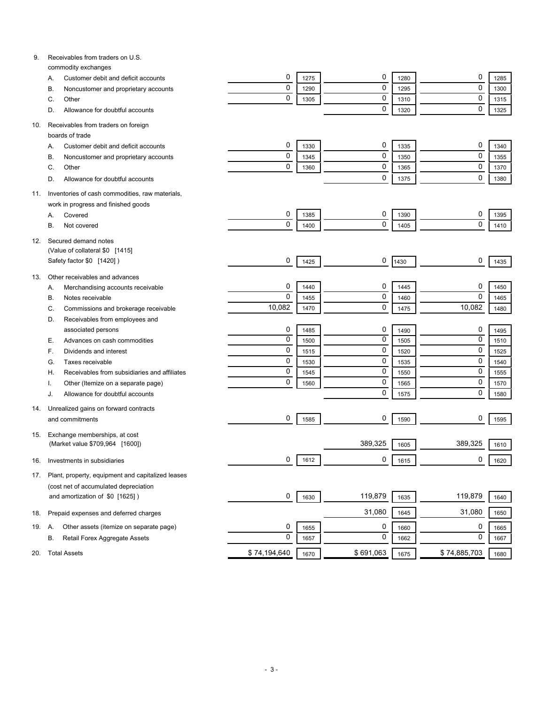| 9.  | Receivables from traders on U.S.                           |              |      |           |      |              |      |
|-----|------------------------------------------------------------|--------------|------|-----------|------|--------------|------|
|     | commodity exchanges<br>Customer debit and deficit accounts | 0            | 1275 | 0         | 1280 | 0            | 1285 |
|     | Α.<br>Noncustomer and proprietary accounts<br>В.           | $\mathbf 0$  | 1290 | 0         | 1295 | $\mathbf 0$  | 1300 |
|     | Other<br>C.                                                | $\mathbf 0$  | 1305 | 0         | 1310 | $\mathbf 0$  | 1315 |
|     | Allowance for doubtful accounts<br>D.                      |              |      | 0         | 1320 | $\mathbf 0$  | 1325 |
|     |                                                            |              |      |           |      |              |      |
| 10. | Receivables from traders on foreign                        |              |      |           |      |              |      |
|     | boards of trade                                            |              |      |           |      |              |      |
|     | Customer debit and deficit accounts<br>Α.                  | 0            | 1330 | 0         | 1335 | 0            | 1340 |
|     | Noncustomer and proprietary accounts<br>В.                 | 0            | 1345 | 0         | 1350 | $\mathbf 0$  | 1355 |
|     | Other<br>C.                                                | 0            | 1360 | 0         | 1365 | $\mathbf 0$  | 1370 |
|     | Allowance for doubtful accounts<br>D.                      |              |      | 0         | 1375 | $\mathbf 0$  | 1380 |
| 11. | Inventories of cash commodities, raw materials,            |              |      |           |      |              |      |
|     | work in progress and finished goods                        |              |      |           |      |              |      |
|     | Covered<br>Α.                                              | 0            | 1385 | 0         | 1390 | 0            | 1395 |
|     | В.<br>Not covered                                          | 0            | 1400 | 0         | 1405 | $\mathbf 0$  | 1410 |
|     |                                                            |              |      |           |      |              |      |
| 12. | Secured demand notes                                       |              |      |           |      |              |      |
|     | (Value of collateral \$0 [1415]                            |              |      |           |      |              |      |
|     | Safety factor \$0 [1420])                                  | 0            | 1425 | 0         | 1430 | 0            | 1435 |
| 13. | Other receivables and advances                             |              |      |           |      |              |      |
|     | Merchandising accounts receivable<br>А.                    | 0            | 1440 | 0         | 1445 | 0            | 1450 |
|     | Notes receivable<br>В.                                     | $\mathbf 0$  | 1455 | 0         | 1460 | $\mathbf 0$  | 1465 |
|     | Commissions and brokerage receivable<br>C.                 | 10,082       | 1470 | 0         | 1475 | 10,082       | 1480 |
|     | Receivables from employees and<br>D.                       |              |      |           |      |              |      |
|     | associated persons                                         | 0            | 1485 | 0         | 1490 | 0            | 1495 |
|     | Advances on cash commodities<br>Е.                         | $\mathbf 0$  | 1500 | 0         | 1505 | $\mathbf 0$  | 1510 |
|     | Dividends and interest<br>F.                               | $\mathbf 0$  | 1515 | 0         | 1520 | $\mathbf 0$  | 1525 |
|     | Taxes receivable<br>G.                                     | $\mathbf 0$  | 1530 | 0         | 1535 | $\mathbf 0$  | 1540 |
|     | Receivables from subsidiaries and affiliates<br>Н.         | $\mathbf 0$  | 1545 | 0         | 1550 | $\mathbf 0$  | 1555 |
|     | Other (Itemize on a separate page)                         | $\mathbf 0$  | 1560 | 0         | 1565 | $\mathbf 0$  | 1570 |
|     | Allowance for doubtful accounts<br>J.                      |              |      | 0         | 1575 | $\mathbf 0$  | 1580 |
|     |                                                            |              |      |           |      |              |      |
| 14. | Unrealized gains on forward contracts                      | 0            |      | 0         |      | 0            |      |
|     | and commitments                                            |              | 1585 |           | 1590 |              | 1595 |
| 15. | Exchange memberships, at cost                              |              |      |           |      |              |      |
|     | (Market value \$709,964 [1600])                            |              |      | 389,325   | 1605 | 389,325      | 1610 |
| 16. | Investments in subsidiaries                                | 0            | 1612 | 0         | 1615 | 0            | 1620 |
|     |                                                            |              |      |           |      |              |      |
| 17. | Plant, property, equipment and capitalized leases          |              |      |           |      |              |      |
|     | (cost net of accumulated depreciation                      |              |      |           |      |              |      |
|     | and amortization of \$0 [1625])                            | 0            | 1630 | 119,879   | 1635 | 119,879      | 1640 |
| 18. | Prepaid expenses and deferred charges                      |              |      | 31,080    | 1645 | 31,080       | 1650 |
| 19. | Other assets (itemize on separate page)<br>Α.              | 0            | 1655 | 0         | 1660 | 0            | 1665 |
|     | Retail Forex Aggregate Assets<br>В.                        | $\mathbf 0$  |      | 0         |      | 0            |      |
|     |                                                            |              | 1657 |           | 1662 |              | 1667 |
| 20. | <b>Total Assets</b>                                        | \$74,194,640 | 1670 | \$691,063 | 1675 | \$74,885,703 | 1680 |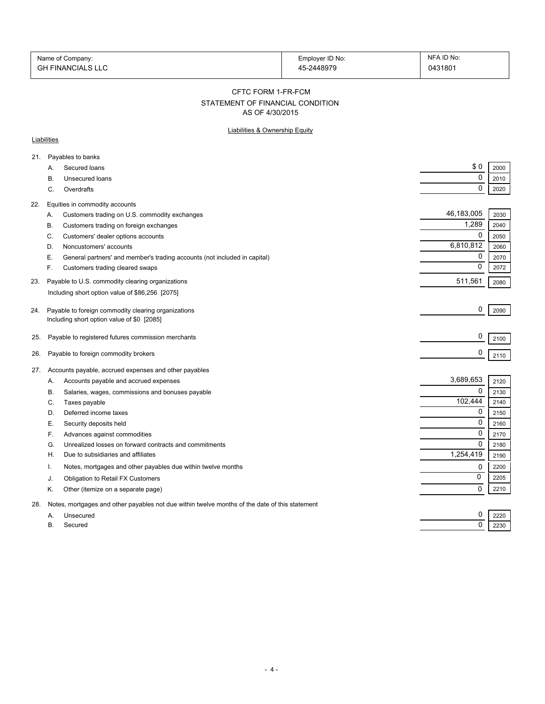| Name of Company:         | Employer ID No: | NFA ID No: |
|--------------------------|-----------------|------------|
| <b>GH FINANCIALS LLC</b> | 45-2448979      | 0431801    |

#### CFTC FORM 1-FR-FCM

# STATEMENT OF FINANCIAL CONDITION

AS OF 4/30/2015

### Liabilities & Ownership Equity

### **Liabilities**

| 21. |    | Payables to banks                                                                              |             |      |
|-----|----|------------------------------------------------------------------------------------------------|-------------|------|
|     | А. | Secured loans                                                                                  | \$0         | 2000 |
|     | В. | Unsecured loans                                                                                | 0           | 2010 |
|     | C. | Overdrafts                                                                                     | 0           | 2020 |
| 22. |    | Equities in commodity accounts                                                                 |             |      |
|     | А. | Customers trading on U.S. commodity exchanges                                                  | 46,183,005  | 2030 |
|     | В. | Customers trading on foreign exchanges                                                         | 1,289       | 2040 |
|     | C. | Customers' dealer options accounts                                                             | $\mathbf 0$ | 2050 |
|     | D. | Noncustomers' accounts                                                                         | 6,810,812   | 2060 |
|     | Е. | General partners' and member's trading accounts (not included in capital)                      | 0           | 2070 |
|     | F. | Customers trading cleared swaps                                                                | 0           | 2072 |
| 23. |    | Payable to U.S. commodity clearing organizations                                               | 511,561     | 2080 |
|     |    | Including short option value of \$86,256 [2075]                                                |             |      |
|     |    |                                                                                                |             |      |
| 24. |    | Payable to foreign commodity clearing organizations                                            | 0           | 2090 |
|     |    | Including short option value of \$0 [2085]                                                     |             |      |
| 25. |    | Payable to registered futures commission merchants                                             | 0           | 2100 |
|     |    |                                                                                                |             |      |
| 26. |    | Payable to foreign commodity brokers                                                           | 0           | 2110 |
| 27. |    | Accounts payable, accrued expenses and other payables                                          |             |      |
|     | Α. | Accounts payable and accrued expenses                                                          | 3,689,653   | 2120 |
|     | В. | Salaries, wages, commissions and bonuses payable                                               | 0           | 2130 |
|     | C. | Taxes payable                                                                                  | 102,444     | 2140 |
|     | D. | Deferred income taxes                                                                          | 0           | 2150 |
|     | Е. | Security deposits held                                                                         | 0           | 2160 |
|     | F. | Advances against commodities                                                                   | 0           | 2170 |
|     | G. | Unrealized losses on forward contracts and commitments                                         | $\mathbf 0$ | 2180 |
|     | H  | Due to subsidiaries and affiliates                                                             | 1,254,419   | 2190 |
|     | т. | Notes, mortgages and other payables due within twelve months                                   | 0           | 2200 |
|     | J. | Obligation to Retail FX Customers                                                              | 0           | 2205 |
|     | Κ. | Other (itemize on a separate page)                                                             | 0           | 2210 |
| 28. |    | Notes, mortgages and other payables not due within twelve months of the date of this statement |             |      |
|     | А. | Unsecured                                                                                      | 0           | 2220 |
|     | Β. | Secured                                                                                        | 0           | 2230 |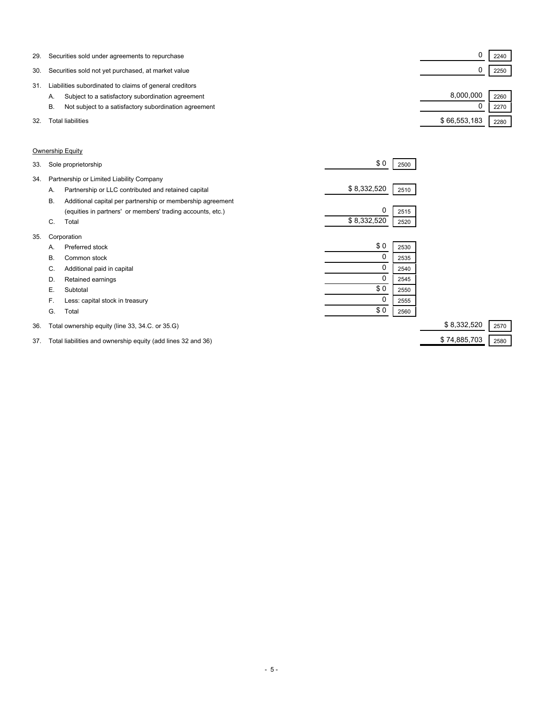| 29. | Securities sold under agreements to repurchase              |              | 2240 |  |
|-----|-------------------------------------------------------------|--------------|------|--|
| 30. | Securities sold not yet purchased, at market value          |              | 2250 |  |
| 31  | Liabilities subordinated to claims of general creditors     |              |      |  |
|     | Subject to a satisfactory subordination agreement<br>А.     | 8.000.000    | 2260 |  |
|     | Not subject to a satisfactory subordination agreement<br>В. |              | 2270 |  |
| 32. | Total liabilities                                           | \$66,553,183 | 2280 |  |

### Ownership Equity

| 33. |    | Sole proprietorship                                        | \$0         | 2500 |                     |
|-----|----|------------------------------------------------------------|-------------|------|---------------------|
| 34. |    | Partnership or Limited Liability Company                   |             |      |                     |
|     | Α. | Partnership or LLC contributed and retained capital        | \$8,332,520 | 2510 |                     |
|     | В. | Additional capital per partnership or membership agreement |             |      |                     |
|     |    | (equities in partners' or members' trading accounts, etc.) | 0           | 2515 |                     |
|     | C. | Total                                                      | \$8,332,520 | 2520 |                     |
| 35. |    | Corporation                                                |             |      |                     |
|     | А. | Preferred stock                                            | \$0         | 2530 |                     |
|     | В. | Common stock                                               | 0           | 2535 |                     |
|     | C. | Additional paid in capital                                 | 0           | 2540 |                     |
|     | D. | Retained earnings                                          | 0           | 2545 |                     |
|     | Е. | Subtotal                                                   | \$0         | 2550 |                     |
|     | F. | Less: capital stock in treasury                            | 0           | 2555 |                     |
|     | G. | Total                                                      | \$0         | 2560 |                     |
| 36. |    | Total ownership equity (line 33, 34.C. or 35.G)            |             |      | \$8,332,520<br>2570 |

37. Total liabilities and ownership equity (add lines 32 and 36) \$ 74,885,703 2580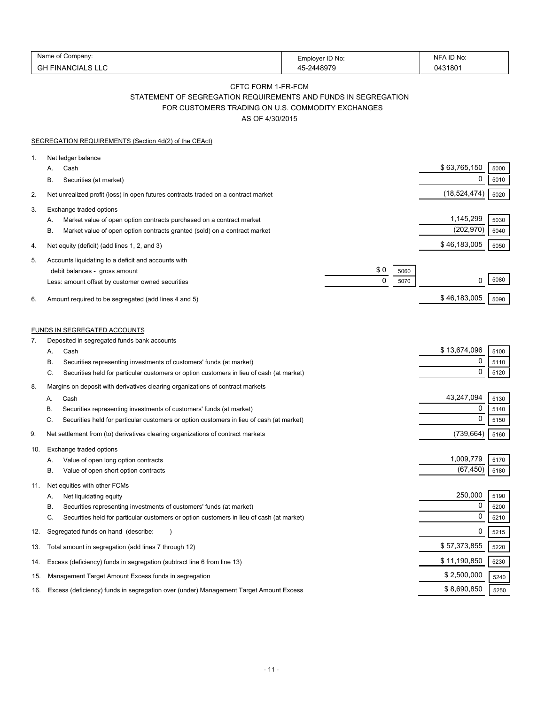| Name<br>∶ompanv:               | Emplover ID No: | D No:<br>N⊩ |
|--------------------------------|-----------------|-------------|
| $\cap$<br>-INANCIALS LLC<br>סט | 10070           | 043180      |

## CFTC FORM 1-FR-FCM STATEMENT OF SEGREGATION REQUIREMENTS AND FUNDS IN SEGREGATION

FOR CUSTOMERS TRADING ON U.S. COMMODITY EXCHANGES

AS OF 4/30/2015

|     | SEGREGATION REQUIREMENTS (Section 4d(2) of the CEAct)                                                                                                                                                                                                                       |                          |                         |                      |
|-----|-----------------------------------------------------------------------------------------------------------------------------------------------------------------------------------------------------------------------------------------------------------------------------|--------------------------|-------------------------|----------------------|
| 1.  | Net ledger balance<br>Cash<br>А.<br>В.<br>Securities (at market)                                                                                                                                                                                                            |                          | \$63,765,150<br>0       | 5000<br>5010         |
| 2.  | Net unrealized profit (loss) in open futures contracts traded on a contract market                                                                                                                                                                                          |                          | (18,524,474)            | 5020                 |
| 3.  | Exchange traded options<br>Market value of open option contracts purchased on a contract market<br>А.<br>Market value of open option contracts granted (sold) on a contract market<br>В.                                                                                    |                          | 1,145,299<br>(202, 970) | 5030<br>5040         |
| 4.  | Net equity (deficit) (add lines 1, 2, and 3)                                                                                                                                                                                                                                |                          | \$46,183,005            | 5050                 |
| 5.  | Accounts liquidating to a deficit and accounts with<br>debit balances - gross amount<br>Less: amount offset by customer owned securities                                                                                                                                    | \$0<br>5060<br>0<br>5070 | 0                       | 5080                 |
| 6.  | Amount required to be segregated (add lines 4 and 5)                                                                                                                                                                                                                        |                          | \$46,183,005            | 5090                 |
| 7.  | <b>FUNDS IN SEGREGATED ACCOUNTS</b><br>Deposited in segregated funds bank accounts                                                                                                                                                                                          |                          |                         |                      |
|     | А.<br>Cash                                                                                                                                                                                                                                                                  |                          | \$13,674,096            | 5100                 |
|     | Securities representing investments of customers' funds (at market)<br>В.<br>C.<br>Securities held for particular customers or option customers in lieu of cash (at market)                                                                                                 |                          | 0<br>0                  | 5110<br>5120         |
| 8.  | Margins on deposit with derivatives clearing organizations of contract markets<br>Cash<br>А.<br>Securities representing investments of customers' funds (at market)<br>В.<br>C.<br>Securities held for particular customers or option customers in lieu of cash (at market) |                          | 43,247,094<br>0<br>0    | 5130<br>5140<br>5150 |
| 9.  | Net settlement from (to) derivatives clearing organizations of contract markets                                                                                                                                                                                             |                          | (739, 664)              | 5160                 |
| 10. | Exchange traded options<br>Value of open long option contracts<br>А.<br>Value of open short option contracts<br>В.                                                                                                                                                          |                          | 1,009,779<br>(67, 450)  | 5170<br>5180         |
| 11. | Net equities with other FCMs<br>Net liquidating equity<br>А.<br>Securities representing investments of customers' funds (at market)<br>В.<br>C.<br>Securities held for particular customers or option customers in lieu of cash (at market)                                 |                          | 250,000<br>0<br>0       | 5190<br>5200<br>5210 |
| 12. | Segregated funds on hand (describe:                                                                                                                                                                                                                                         |                          | 0                       | 5215                 |
| 13. | Total amount in segregation (add lines 7 through 12)                                                                                                                                                                                                                        |                          | \$57,373,855            | 5220                 |
| 14. | Excess (deficiency) funds in segregation (subtract line 6 from line 13)                                                                                                                                                                                                     |                          | \$11,190,850            | 5230                 |
| 15. | Management Target Amount Excess funds in segregation                                                                                                                                                                                                                        |                          | \$2,500,000             | 5240                 |
| 16. | Excess (deficiency) funds in segregation over (under) Management Target Amount Excess                                                                                                                                                                                       |                          | \$8,690,850             | 5250                 |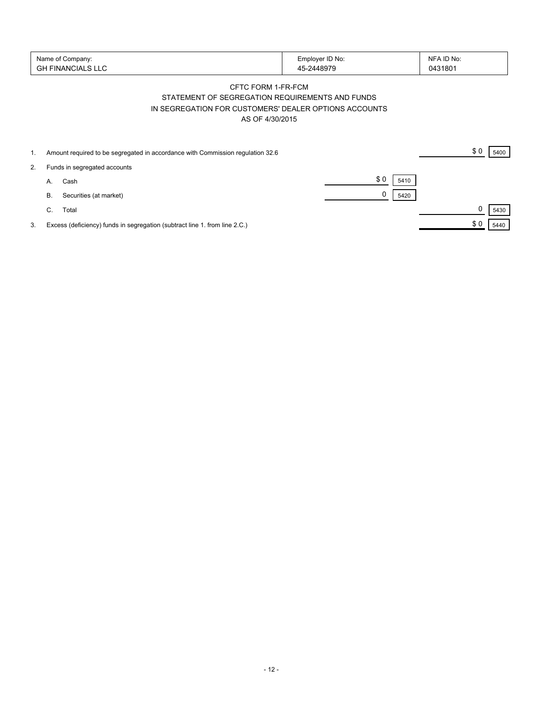| Name of Company:   | Employer ID No: | NFA ID No: |
|--------------------|-----------------|------------|
| 'GH FINANCIALS LLC | -2448979        | 0431801    |

### CFTC FORM 1-FR-FCM STATEMENT OF SEGREGATION REQUIREMENTS AND FUNDS IN SEGREGATION FOR CUSTOMERS' DEALER OPTIONS ACCOUNTS AS OF 4/30/2015

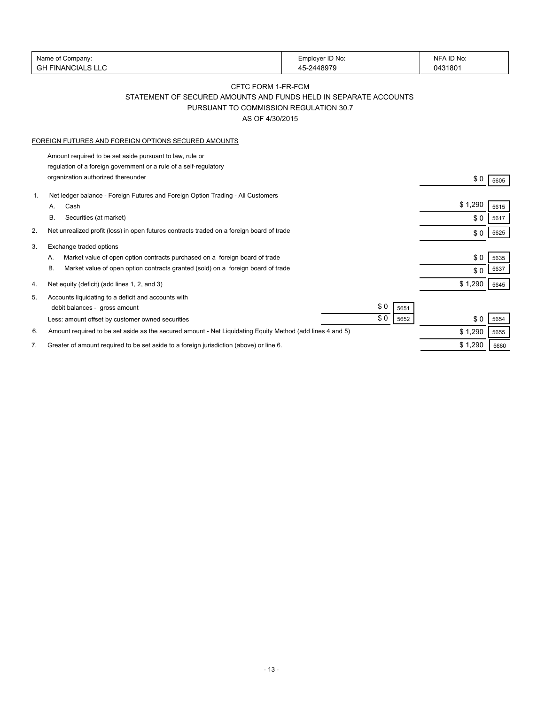|    | Name of Company:                                                                                                              | Employer ID No: | NFA ID No: |      |
|----|-------------------------------------------------------------------------------------------------------------------------------|-----------------|------------|------|
|    | <b>GH FINANCIALS LLC</b>                                                                                                      | 45-2448979      | 0431801    |      |
|    |                                                                                                                               |                 |            |      |
|    | CFTC FORM 1-FR-FCM                                                                                                            |                 |            |      |
|    | STATEMENT OF SECURED AMOUNTS AND FUNDS HELD IN SEPARATE ACCOUNTS                                                              |                 |            |      |
|    | PURSUANT TO COMMISSION REGULATION 30.7                                                                                        |                 |            |      |
|    | AS OF 4/30/2015                                                                                                               |                 |            |      |
|    | FOREIGN FUTURES AND FOREIGN OPTIONS SECURED AMOUNTS                                                                           |                 |            |      |
|    |                                                                                                                               |                 |            |      |
|    | Amount required to be set aside pursuant to law, rule or<br>regulation of a foreign government or a rule of a self-regulatory |                 |            |      |
|    | organization authorized thereunder                                                                                            |                 |            |      |
|    |                                                                                                                               |                 | \$0        | 5605 |
| 1. | Net ledger balance - Foreign Futures and Foreign Option Trading - All Customers                                               |                 |            |      |
|    | Cash<br>А.                                                                                                                    |                 | \$1,290    | 5615 |
|    | В.<br>Securities (at market)                                                                                                  |                 | \$0        | 5617 |
| 2. | Net unrealized profit (loss) in open futures contracts traded on a foreign board of trade                                     |                 | \$0        | 5625 |
| 3. | Exchange traded options                                                                                                       |                 |            |      |
|    | Market value of open option contracts purchased on a foreign board of trade<br>А.                                             |                 | \$0        | 5635 |
|    | В.<br>Market value of open option contracts granted (sold) on a foreign board of trade                                        |                 | \$0        | 5637 |
|    |                                                                                                                               |                 |            |      |
| 4. | Net equity (deficit) (add lines 1, 2, and 3)                                                                                  |                 | \$1,290    | 5645 |
| 5. | Accounts liquidating to a deficit and accounts with                                                                           |                 |            |      |
|    | debit balances - gross amount                                                                                                 | \$0<br>5651     |            |      |
|    | Less: amount offset by customer owned securities                                                                              | \$0<br>5652     | \$0        | 5654 |
| 6. | Amount required to be set aside as the secured amount - Net Liquidating Equity Method (add lines 4 and 5)                     |                 | \$1,290    | 5655 |
| 7. | Greater of amount required to be set aside to a foreign jurisdiction (above) or line 6.                                       |                 | \$1,290    | 5660 |